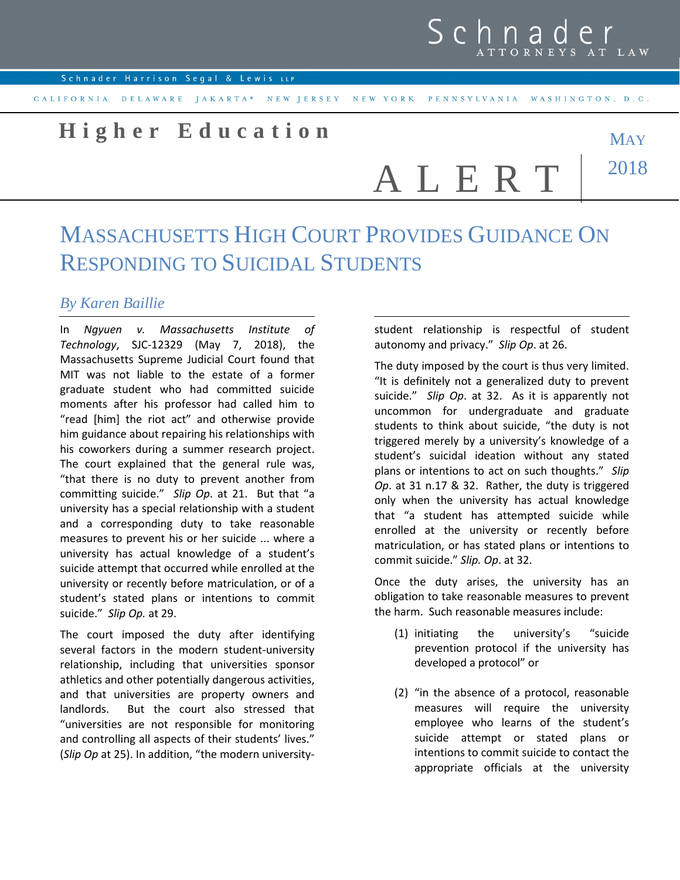## **H i g h e r E d u c a t i o n**

A L E R T

## **MAY** 2018

## MASSACHUSETTS HIGH COURT PROVIDES GUIDANCE ON RESPONDING TO SUICIDAL STUDENTS

## *By Karen Baillie*

In *Ngyuen v. Massachusetts Institute of Technology*, SJC-12329 (May 7, 2018), the Massachusetts Supreme Judicial Court found that MIT was not liable to the estate of a former graduate student who had committed suicide moments after his professor had called him to "read [him] the riot act" and otherwise provide him guidance about repairing his relationships with his coworkers during a summer research project. The court explained that the general rule was, "that there is no duty to prevent another from committing suicide." *Slip Op*. at 21. But that "a university has a special relationship with a student and a corresponding duty to take reasonable measures to prevent his or her suicide ... where a university has actual knowledge of a student's suicide attempt that occurred while enrolled at the university or recently before matriculation, or of a student's stated plans or intentions to commit suicide." *Slip Op.* at 29.

The court imposed the duty after identifying several factors in the modern student-university relationship, including that universities sponsor athletics and other potentially dangerous activities, and that universities are property owners and landlords. But the court also stressed that "universities are not responsible for monitoring and controlling all aspects of their students' lives." (*Slip Op* at 25). In addition, "the modern universitystudent relationship is respectful of student autonomy and privacy." *Slip Op*. at 26.

The duty imposed by the court is thus very limited. "It is definitely not a generalized duty to prevent suicide." *Slip Op*. at 32. As it is apparently not uncommon for undergraduate and graduate students to think about suicide, "the duty is not triggered merely by a university's knowledge of a student's suicidal ideation without any stated plans or intentions to act on such thoughts." *Slip Op*. at 31 n.17 & 32. Rather, the duty is triggered only when the university has actual knowledge that "a student has attempted suicide while enrolled at the university or recently before matriculation, or has stated plans or intentions to commit suicide." *Slip. Op*. at 32.

Once the duty arises, the university has an obligation to take reasonable measures to prevent the harm. Such reasonable measures include:

- (1) initiating the university's "suicide prevention protocol if the university has developed a protocol" or
- (2) "in the absence of a protocol, reasonable measures will require the university employee who learns of the student's suicide attempt or stated plans or intentions to commit suicide to contact the appropriate officials at the university